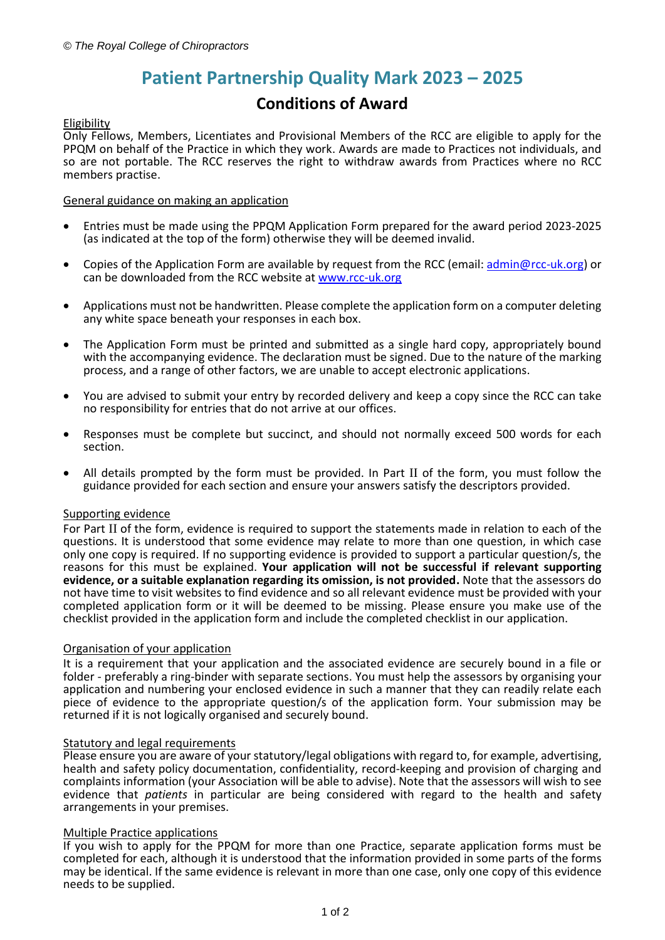# **Patient Partnership Quality Mark 2023 – 2025**

## **Conditions of Award**

## Eligibility

Only Fellows, Members, Licentiates and Provisional Members of the RCC are eligible to apply for the PPQM on behalf of the Practice in which they work. Awards are made to Practices not individuals, and so are not portable. The RCC reserves the right to withdraw awards from Practices where no RCC members practise.

## General guidance on making an application

- Entries must be made using the PPQM Application Form prepared for the award period 2023-2025 (as indicated at the top of the form) otherwise they will be deemed invalid.
- Copies of the Application Form are available by request from the RCC (email: [admin@rcc-uk.org\)](mailto:admin@rcc-uk.org) or can be downloaded from the RCC website at [www.rcc-uk.org](http://www.rcc-uk.org/)
- Applications must not be handwritten. Please complete the application form on a computer deleting any white space beneath your responses in each box.
- The Application Form must be printed and submitted as a single hard copy, appropriately bound with the accompanying evidence. The declaration must be signed. Due to the nature of the marking process, and a range of other factors, we are unable to accept electronic applications.
- You are advised to submit your entry by recorded delivery and keep a copy since the RCC can take no responsibility for entries that do not arrive at our offices.
- Responses must be complete but succinct, and should not normally exceed 500 words for each section.
- All details prompted by the form must be provided. In Part II of the form, you must follow the guidance provided for each section and ensure your answers satisfy the descriptors provided.

## Supporting evidence

For Part II of the form, evidence is required to support the statements made in relation to each of the questions. It is understood that some evidence may relate to more than one question, in which case only one copy is required. If no supporting evidence is provided to support a particular question/s, the reasons for this must be explained. **Your application will not be successful if relevant supporting evidence, or a suitable explanation regarding its omission, is not provided.** Note that the assessors do not have time to visit websites to find evidence and so all relevant evidence must be provided with your completed application form or it will be deemed to be missing. Please ensure you make use of the checklist provided in the application form and include the completed checklist in our application.

## Organisation of your application

It is a requirement that your application and the associated evidence are securely bound in a file or folder - preferably a ring-binder with separate sections. You must help the assessors by organising your application and numbering your enclosed evidence in such a manner that they can readily relate each piece of evidence to the appropriate question/s of the application form. Your submission may be returned if it is not logically organised and securely bound.

## Statutory and legal requirements

Please ensure you are aware of your statutory/legal obligations with regard to, for example, advertising, health and safety policy documentation, confidentiality, record-keeping and provision of charging and complaints information (your Association will be able to advise). Note that the assessors will wish to see evidence that *patients* in particular are being considered with regard to the health and safety arrangements in your premises.

## Multiple Practice applications

If you wish to apply for the PPQM for more than one Practice, separate application forms must be completed for each, although it is understood that the information provided in some parts of the forms may be identical. If the same evidence is relevant in more than one case, only one copy of this evidence needs to be supplied.